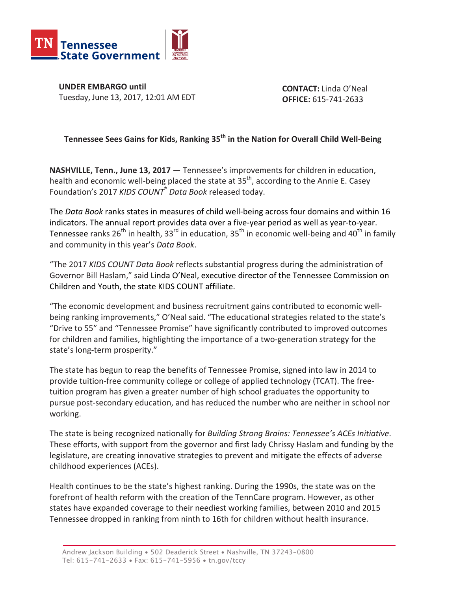

**UNDER EMBARGO until** Tuesday, June 13, 2017, 12:01 AM EDT

**CONTACT:** Linda O'Neal **OFFICE:** 615-741-2633

## **Tennessee Sees Gains for Kids, Ranking 35<sup>th</sup> in the Nation for Overall Child Well-Being**

**NASHVILLE, Tenn., June 13, 2017** — Tennessee's improvements for children in education, health and economic well-being placed the state at  $35<sup>th</sup>$ , according to the Annie E. Casey Foundation's 2017 *KIDS COUNT<sup>®</sup> Data Book* released today.

The *Data Book* ranks states in measures of child well-being across four domains and within 16 indicators. The annual report provides data over a five-year period as well as year-to-year. Tennessee ranks  $26^{th}$  in health,  $33^{rd}$  in education,  $35^{th}$  in economic well-being and  $40^{th}$  in family and community in this year's Data Book.

"The 2017 KIDS COUNT Data Book reflects substantial progress during the administration of Governor Bill Haslam," said Linda O'Neal, executive director of the Tennessee Commission on Children and Youth, the state KIDS COUNT affiliate.

"The economic development and business recruitment gains contributed to economic wellbeing ranking improvements," O'Neal said. "The educational strategies related to the state's "Drive to 55" and "Tennessee Promise" have significantly contributed to improved outcomes for children and families, highlighting the importance of a two-generation strategy for the state's long-term prosperity."

The state has begun to reap the benefits of Tennessee Promise, signed into law in 2014 to provide tuition-free community college or college of applied technology (TCAT). The freetuition program has given a greater number of high school graduates the opportunity to pursue post-secondary education, and has reduced the number who are neither in school nor working.

The state is being recognized nationally for *Building Strong Brains: Tennessee's ACEs Initiative*. These efforts, with support from the governor and first lady Chrissy Haslam and funding by the legislature, are creating innovative strategies to prevent and mitigate the effects of adverse childhood experiences (ACEs).

Health continues to be the state's highest ranking. During the 1990s, the state was on the forefront of health reform with the creation of the TennCare program. However, as other states have expanded coverage to their neediest working families, between 2010 and 2015 Tennessee dropped in ranking from ninth to 16th for children without health insurance.